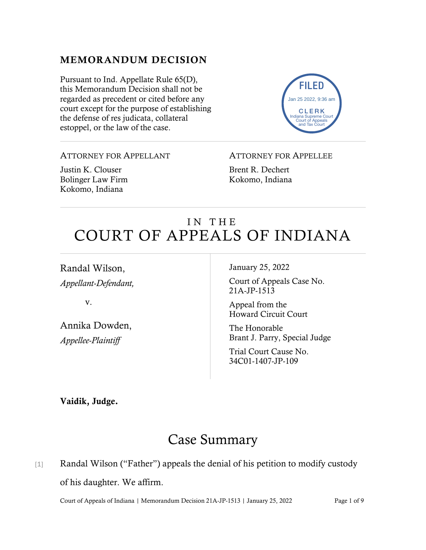### MEMORANDUM DECISION

Pursuant to Ind. Appellate Rule 65(D), this Memorandum Decision shall not be regarded as precedent or cited before any court except for the purpose of establishing the defense of res judicata, collateral estoppel, or the law of the case.



#### ATTORNEY FOR APPELLANT

Justin K. Clouser Bolinger Law Firm Kokomo, Indiana

#### ATTORNEY FOR APPELLEE

Brent R. Dechert Kokomo, Indiana

# IN THE COURT OF APPEALS OF INDIANA

Randal Wilson, *Appellant-Defendant,*

v.

Annika Dowden, *Appellee-Plaintiff*

January 25, 2022

Court of Appeals Case No. 21A-JP-1513

Appeal from the Howard Circuit Court

The Honorable Brant J. Parry, Special Judge

Trial Court Cause No. 34C01-1407-JP-109

Vaidik, Judge.

# Case Summary

### [1] Randal Wilson ("Father") appeals the denial of his petition to modify custody of his daughter. We affirm.

Court of Appeals of Indiana | Memorandum Decision 21A-JP-1513 | January 25, 2022 Page 1 of 9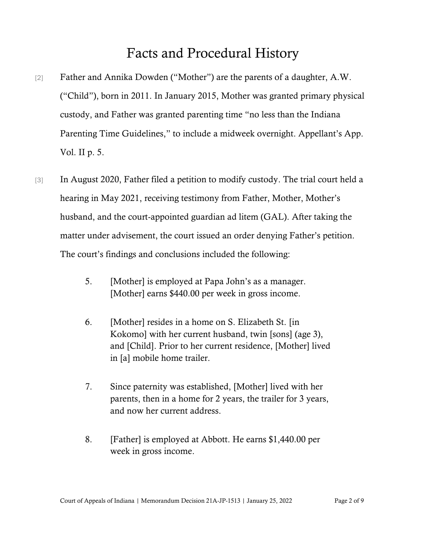# Facts and Procedural History

- [2] Father and Annika Dowden ("Mother") are the parents of a daughter, A.W. ("Child"), born in 2011. In January 2015, Mother was granted primary physical custody, and Father was granted parenting time "no less than the Indiana Parenting Time Guidelines," to include a midweek overnight. Appellant's App. Vol. II p. 5.
- [3] In August 2020, Father filed a petition to modify custody. The trial court held a hearing in May 2021, receiving testimony from Father, Mother, Mother's husband, and the court-appointed guardian ad litem (GAL). After taking the matter under advisement, the court issued an order denying Father's petition. The court's findings and conclusions included the following:
	- 5. [Mother] is employed at Papa John's as a manager. [Mother] earns \$440.00 per week in gross income.
	- 6. [Mother] resides in a home on S. Elizabeth St. [in Kokomo] with her current husband, twin [sons] (age 3), and [Child]. Prior to her current residence, [Mother] lived in [a] mobile home trailer.
	- 7. Since paternity was established, [Mother] lived with her parents, then in a home for 2 years, the trailer for 3 years, and now her current address.
	- 8. [Father] is employed at Abbott. He earns \$1,440.00 per week in gross income.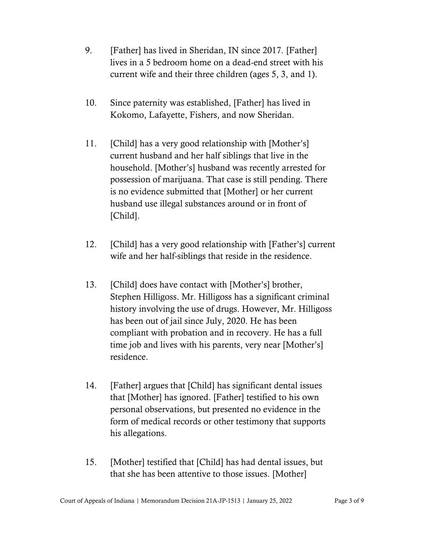- 9. [Father] has lived in Sheridan, IN since 2017. [Father] lives in a 5 bedroom home on a dead-end street with his current wife and their three children (ages 5, 3, and 1).
- 10. Since paternity was established, [Father] has lived in Kokomo, Lafayette, Fishers, and now Sheridan.
- 11. [Child] has a very good relationship with [Mother's] current husband and her half siblings that live in the household. [Mother's] husband was recently arrested for possession of marijuana. That case is still pending. There is no evidence submitted that [Mother] or her current husband use illegal substances around or in front of [Child].
- 12. [Child] has a very good relationship with [Father's] current wife and her half-siblings that reside in the residence.
- 13. [Child] does have contact with [Mother's] brother, Stephen Hilligoss. Mr. Hilligoss has a significant criminal history involving the use of drugs. However, Mr. Hilligoss has been out of jail since July, 2020. He has been compliant with probation and in recovery. He has a full time job and lives with his parents, very near [Mother's] residence.
- 14. [Father] argues that [Child] has significant dental issues that [Mother] has ignored. [Father] testified to his own personal observations, but presented no evidence in the form of medical records or other testimony that supports his allegations.
- 15. [Mother] testified that [Child] has had dental issues, but that she has been attentive to those issues. [Mother]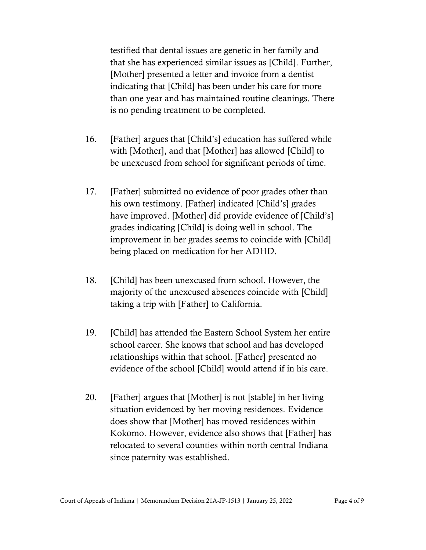testified that dental issues are genetic in her family and that she has experienced similar issues as [Child]. Further, [Mother] presented a letter and invoice from a dentist indicating that [Child] has been under his care for more than one year and has maintained routine cleanings. There is no pending treatment to be completed.

- 16. [Father] argues that [Child's] education has suffered while with [Mother], and that [Mother] has allowed [Child] to be unexcused from school for significant periods of time.
- 17. [Father] submitted no evidence of poor grades other than his own testimony. [Father] indicated [Child's] grades have improved. [Mother] did provide evidence of [Child's] grades indicating [Child] is doing well in school. The improvement in her grades seems to coincide with [Child] being placed on medication for her ADHD.
- 18. [Child] has been unexcused from school. However, the majority of the unexcused absences coincide with [Child] taking a trip with [Father] to California.
- 19. [Child] has attended the Eastern School System her entire school career. She knows that school and has developed relationships within that school. [Father] presented no evidence of the school [Child] would attend if in his care.
- 20. [Father] argues that [Mother] is not [stable] in her living situation evidenced by her moving residences. Evidence does show that [Mother] has moved residences within Kokomo. However, evidence also shows that [Father] has relocated to several counties within north central Indiana since paternity was established.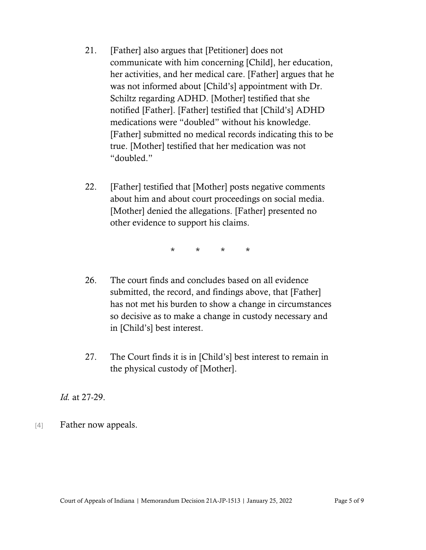- 21. [Father] also argues that [Petitioner] does not communicate with him concerning [Child], her education, her activities, and her medical care. [Father] argues that he was not informed about [Child's] appointment with Dr. Schiltz regarding ADHD. [Mother] testified that she notified [Father]. [Father] testified that [Child's] ADHD medications were "doubled" without his knowledge. [Father] submitted no medical records indicating this to be true. [Mother] testified that her medication was not "doubled."
- 22. [Father] testified that [Mother] posts negative comments about him and about court proceedings on social media. [Mother] denied the allegations. [Father] presented no other evidence to support his claims.

\* \* \* \*

- 26. The court finds and concludes based on all evidence submitted, the record, and findings above, that [Father] has not met his burden to show a change in circumstances so decisive as to make a change in custody necessary and in [Child's] best interest.
- 27. The Court finds it is in [Child's] best interest to remain in the physical custody of [Mother].

*Id.* at 27-29.

[4] Father now appeals.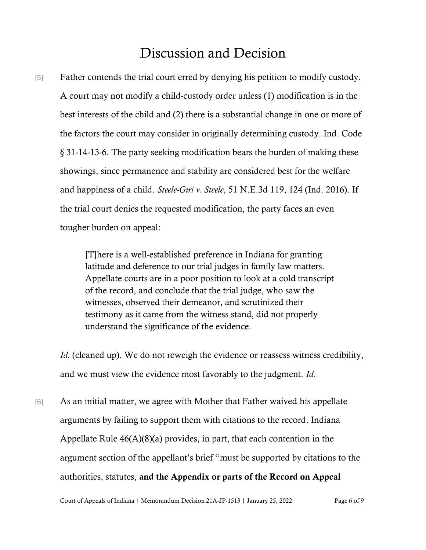# Discussion and Decision

[5] Father contends the trial court erred by denying his petition to modify custody. A court may not modify a child-custody order unless (1) modification is in the best interests of the child and (2) there is a substantial change in one or more of the factors the court may consider in originally determining custody. Ind. Code § 31-14-13-6. The party seeking modification bears the burden of making these showings, since permanence and stability are considered best for the welfare and happiness of a child. *Steele-Giri v. Steele*, 51 N.E.3d 119, 124 (Ind. 2016). If the trial court denies the requested modification, the party faces an even tougher burden on appeal:

> [T]here is a well-established preference in Indiana for granting latitude and deference to our trial judges in family law matters. Appellate courts are in a poor position to look at a cold transcript of the record, and conclude that the trial judge, who saw the witnesses, observed their demeanor, and scrutinized their testimony as it came from the witness stand, did not properly understand the significance of the evidence.

*Id.* (cleaned up). We do not reweigh the evidence or reassess witness credibility, and we must view the evidence most favorably to the judgment. *Id.*

[6] As an initial matter, we agree with Mother that Father waived his appellate arguments by failing to support them with citations to the record. Indiana Appellate Rule  $46(A)(8)(a)$  provides, in part, that each contention in the argument section of the appellant's brief "must be supported by citations to the authorities, statutes, and the Appendix or parts of the Record on Appeal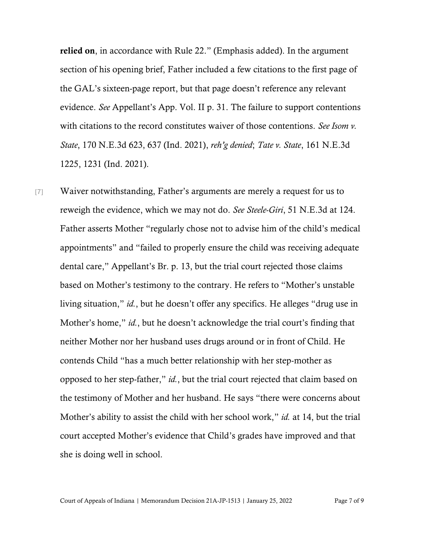relied on, in accordance with Rule 22." (Emphasis added). In the argument section of his opening brief, Father included a few citations to the first page of the GAL's sixteen-page report, but that page doesn't reference any relevant evidence. *See* Appellant's App. Vol. II p. 31. The failure to support contentions with citations to the record constitutes waiver of those contentions. *See Isom v. State*, 170 N.E.3d 623, 637 (Ind. 2021), *reh'g denied*; *Tate v. State*, 161 N.E.3d 1225, 1231 (Ind. 2021).

[7] Waiver notwithstanding, Father's arguments are merely a request for us to reweigh the evidence, which we may not do. *See Steele-Giri*, 51 N.E.3d at 124. Father asserts Mother "regularly chose not to advise him of the child's medical appointments" and "failed to properly ensure the child was receiving adequate dental care," Appellant's Br. p. 13, but the trial court rejected those claims based on Mother's testimony to the contrary. He refers to "Mother's unstable living situation," *id.*, but he doesn't offer any specifics. He alleges "drug use in Mother's home," *id.*, but he doesn't acknowledge the trial court's finding that neither Mother nor her husband uses drugs around or in front of Child. He contends Child "has a much better relationship with her step-mother as opposed to her step-father," *id.*, but the trial court rejected that claim based on the testimony of Mother and her husband. He says "there were concerns about Mother's ability to assist the child with her school work," *id.* at 14, but the trial court accepted Mother's evidence that Child's grades have improved and that she is doing well in school.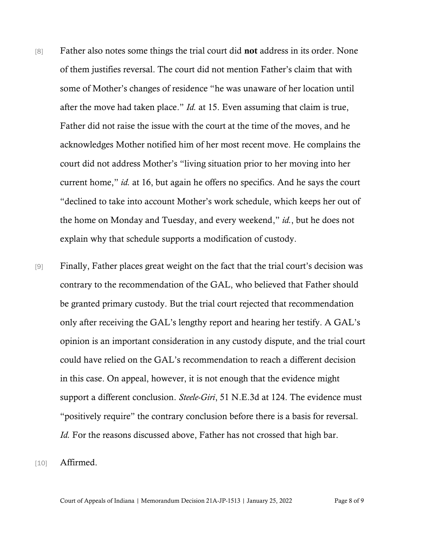- [8] Father also notes some things the trial court did not address in its order. None of them justifies reversal. The court did not mention Father's claim that with some of Mother's changes of residence "he was unaware of her location until after the move had taken place." *Id.* at 15. Even assuming that claim is true, Father did not raise the issue with the court at the time of the moves, and he acknowledges Mother notified him of her most recent move. He complains the court did not address Mother's "living situation prior to her moving into her current home," *id.* at 16, but again he offers no specifics. And he says the court "declined to take into account Mother's work schedule, which keeps her out of the home on Monday and Tuesday, and every weekend," *id.*, but he does not explain why that schedule supports a modification of custody.
- [9] Finally, Father places great weight on the fact that the trial court's decision was contrary to the recommendation of the GAL, who believed that Father should be granted primary custody. But the trial court rejected that recommendation only after receiving the GAL's lengthy report and hearing her testify. A GAL's opinion is an important consideration in any custody dispute, and the trial court could have relied on the GAL's recommendation to reach a different decision in this case. On appeal, however, it is not enough that the evidence might support a different conclusion. *Steele-Giri*, 51 N.E.3d at 124. The evidence must "positively require" the contrary conclusion before there is a basis for reversal. *Id.* For the reasons discussed above, Father has not crossed that high bar.

[10] **Affirmed.** 

Court of Appeals of Indiana | Memorandum Decision 21A-JP-1513 | January 25, 2022 Page 8 of 9